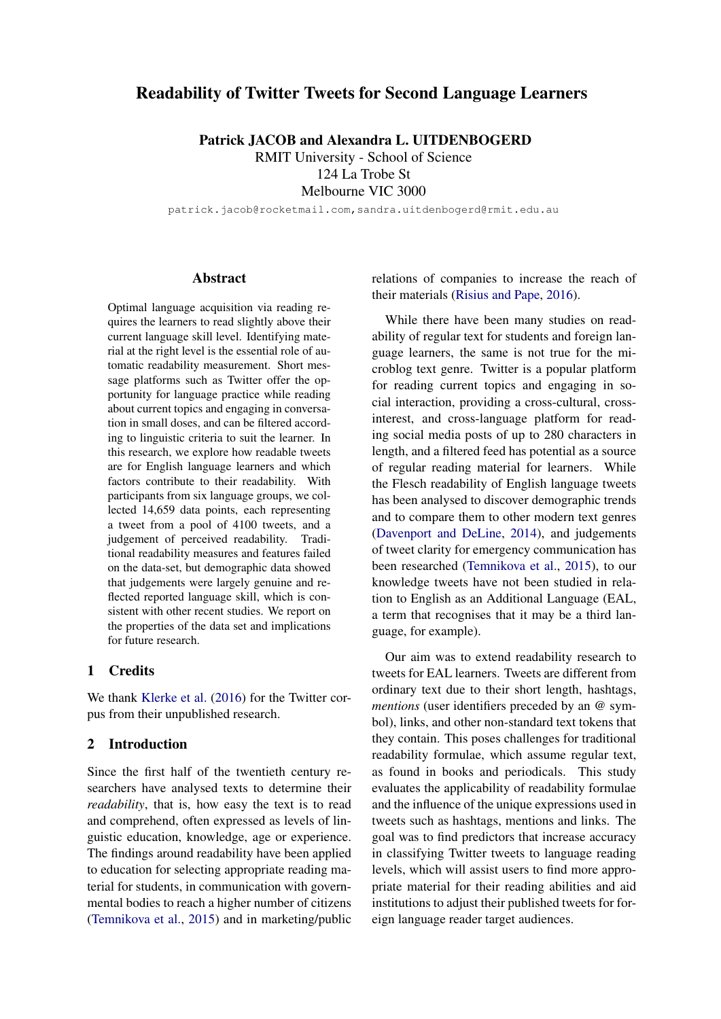# Readability of Twitter Tweets for Second Language Learners

Patrick JACOB and Alexandra L. UITDENBOGERD RMIT University - School of Science 124 La Trobe St

Melbourne VIC 3000

patrick.jacob@rocketmail.com,sandra.uitdenbogerd@rmit.edu.au

### **Abstract**

Optimal language acquisition via reading requires the learners to read slightly above their current language skill level. Identifying material at the right level is the essential role of automatic readability measurement. Short message platforms such as Twitter offer the opportunity for language practice while reading about current topics and engaging in conversation in small doses, and can be filtered according to linguistic criteria to suit the learner. In this research, we explore how readable tweets are for English language learners and which factors contribute to their readability. With participants from six language groups, we collected 14,659 data points, each representing a tweet from a pool of 4100 tweets, and a judgement of perceived readability. Traditional readability measures and features failed on the data-set, but demographic data showed that judgements were largely genuine and reflected reported language skill, which is consistent with other recent studies. We report on the properties of the data set and implications for future research.

## 1 Credits

We thank [Klerke et al.](#page-8-0) [\(2016\)](#page-8-0) for the Twitter corpus from their unpublished research.

## 2 Introduction

Since the first half of the twentieth century researchers have analysed texts to determine their *readability*, that is, how easy the text is to read and comprehend, often expressed as levels of linguistic education, knowledge, age or experience. The findings around readability have been applied to education for selecting appropriate reading material for students, in communication with governmental bodies to reach a higher number of citizens [\(Temnikova et al.,](#page-8-1) [2015\)](#page-8-1) and in marketing/public relations of companies to increase the reach of their materials [\(Risius and Pape,](#page-8-2) [2016\)](#page-8-2).

While there have been many studies on readability of regular text for students and foreign language learners, the same is not true for the microblog text genre. Twitter is a popular platform for reading current topics and engaging in social interaction, providing a cross-cultural, crossinterest, and cross-language platform for reading social media posts of up to 280 characters in length, and a filtered feed has potential as a source of regular reading material for learners. While the Flesch readability of English language tweets has been analysed to discover demographic trends and to compare them to other modern text genres [\(Davenport and DeLine,](#page-8-3) [2014\)](#page-8-3), and judgements of tweet clarity for emergency communication has been researched [\(Temnikova et al.,](#page-8-1) [2015\)](#page-8-1), to our knowledge tweets have not been studied in relation to English as an Additional Language (EAL, a term that recognises that it may be a third language, for example).

Our aim was to extend readability research to tweets for EAL learners. Tweets are different from ordinary text due to their short length, hashtags, *mentions* (user identifiers preceded by an @ symbol), links, and other non-standard text tokens that they contain. This poses challenges for traditional readability formulae, which assume regular text, as found in books and periodicals. This study evaluates the applicability of readability formulae and the influence of the unique expressions used in tweets such as hashtags, mentions and links. The goal was to find predictors that increase accuracy in classifying Twitter tweets to language reading levels, which will assist users to find more appropriate material for their reading abilities and aid institutions to adjust their published tweets for foreign language reader target audiences.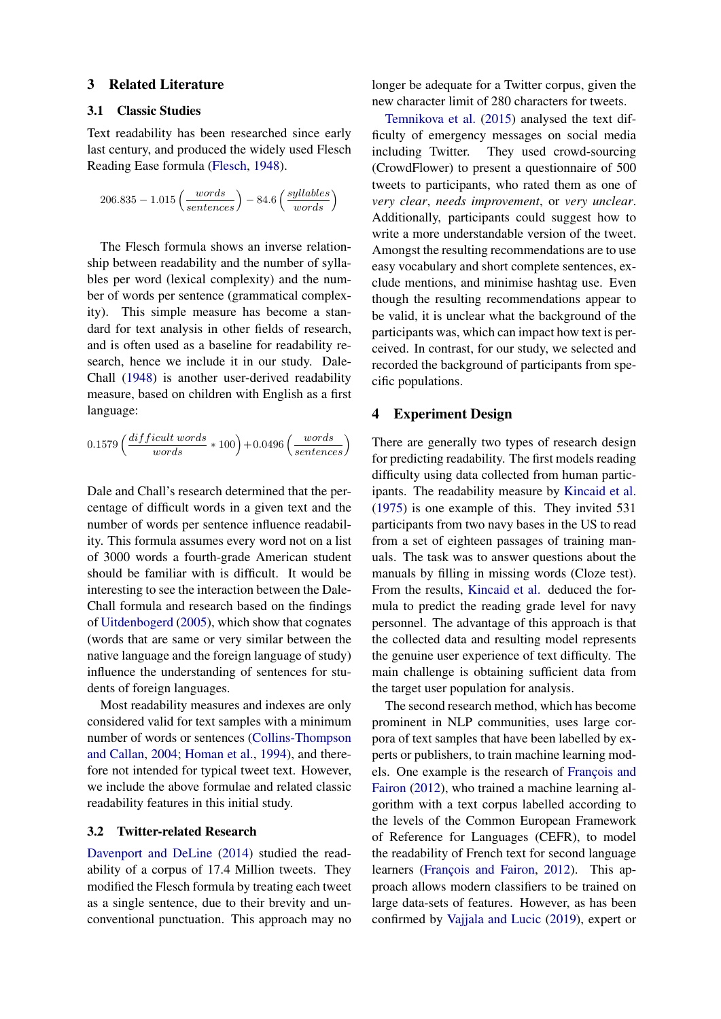#### 3 Related Literature

## 3.1 Classic Studies

Text readability has been researched since early last century, and produced the widely used Flesch Reading Ease formula [\(Flesch,](#page-8-4) [1948\)](#page-8-4).

$$
206.835 - 1.015 \left(\frac{words}{sentences}\right) - 84.6 \left(\frac{syllables}{words}\right)
$$

The Flesch formula shows an inverse relationship between readability and the number of syllables per word (lexical complexity) and the number of words per sentence (grammatical complexity). This simple measure has become a standard for text analysis in other fields of research, and is often used as a baseline for readability research, hence we include it in our study. Dale-Chall [\(1948\)](#page-8-5) is another user-derived readability measure, based on children with English as a first language:

$$
0.1579 \left(\frac{difficult\ words}{words} * 100\right) + 0.0496 \left(\frac{words}{sentences}\right)
$$

Dale and Chall's research determined that the percentage of difficult words in a given text and the number of words per sentence influence readability. This formula assumes every word not on a list of 3000 words a fourth-grade American student should be familiar with is difficult. It would be interesting to see the interaction between the Dale-Chall formula and research based on the findings of [Uitdenbogerd](#page-8-6) [\(2005\)](#page-8-6), which show that cognates (words that are same or very similar between the native language and the foreign language of study) influence the understanding of sentences for students of foreign languages.

Most readability measures and indexes are only considered valid for text samples with a minimum number of words or sentences [\(Collins-Thompson](#page-8-7) [and Callan,](#page-8-7) [2004;](#page-8-7) [Homan et al.,](#page-8-8) [1994\)](#page-8-8), and therefore not intended for typical tweet text. However, we include the above formulae and related classic readability features in this initial study.

## 3.2 Twitter-related Research

[Davenport and DeLine](#page-8-3) [\(2014\)](#page-8-3) studied the readability of a corpus of 17.4 Million tweets. They modified the Flesch formula by treating each tweet as a single sentence, due to their brevity and unconventional punctuation. This approach may no

longer be adequate for a Twitter corpus, given the new character limit of 280 characters for tweets.

[Temnikova et al.](#page-8-1) [\(2015\)](#page-8-1) analysed the text difficulty of emergency messages on social media including Twitter. They used crowd-sourcing (CrowdFlower) to present a questionnaire of 500 tweets to participants, who rated them as one of *very clear*, *needs improvement*, or *very unclear*. Additionally, participants could suggest how to write a more understandable version of the tweet. Amongst the resulting recommendations are to use easy vocabulary and short complete sentences, exclude mentions, and minimise hashtag use. Even though the resulting recommendations appear to be valid, it is unclear what the background of the participants was, which can impact how text is perceived. In contrast, for our study, we selected and recorded the background of participants from specific populations.

#### 4 Experiment Design

There are generally two types of research design for predicting readability. The first models reading difficulty using data collected from human participants. The readability measure by [Kincaid et al.](#page-8-9) [\(1975\)](#page-8-9) is one example of this. They invited 531 participants from two navy bases in the US to read from a set of eighteen passages of training manuals. The task was to answer questions about the manuals by filling in missing words (Cloze test). From the results, [Kincaid et al.](#page-8-9) deduced the formula to predict the reading grade level for navy personnel. The advantage of this approach is that the collected data and resulting model represents the genuine user experience of text difficulty. The main challenge is obtaining sufficient data from the target user population for analysis.

The second research method, which has become prominent in NLP communities, uses large corpora of text samples that have been labelled by experts or publishers, to train machine learning models. One example is the research of François and [Fairon](#page-8-10) [\(2012\)](#page-8-10), who trained a machine learning algorithm with a text corpus labelled according to the levels of the Common European Framework of Reference for Languages (CEFR), to model the readability of French text for second language learners (François and Fairon, [2012\)](#page-8-10). This approach allows modern classifiers to be trained on large data-sets of features. However, as has been confirmed by [Vajjala and Lucic](#page-8-11) [\(2019\)](#page-8-11), expert or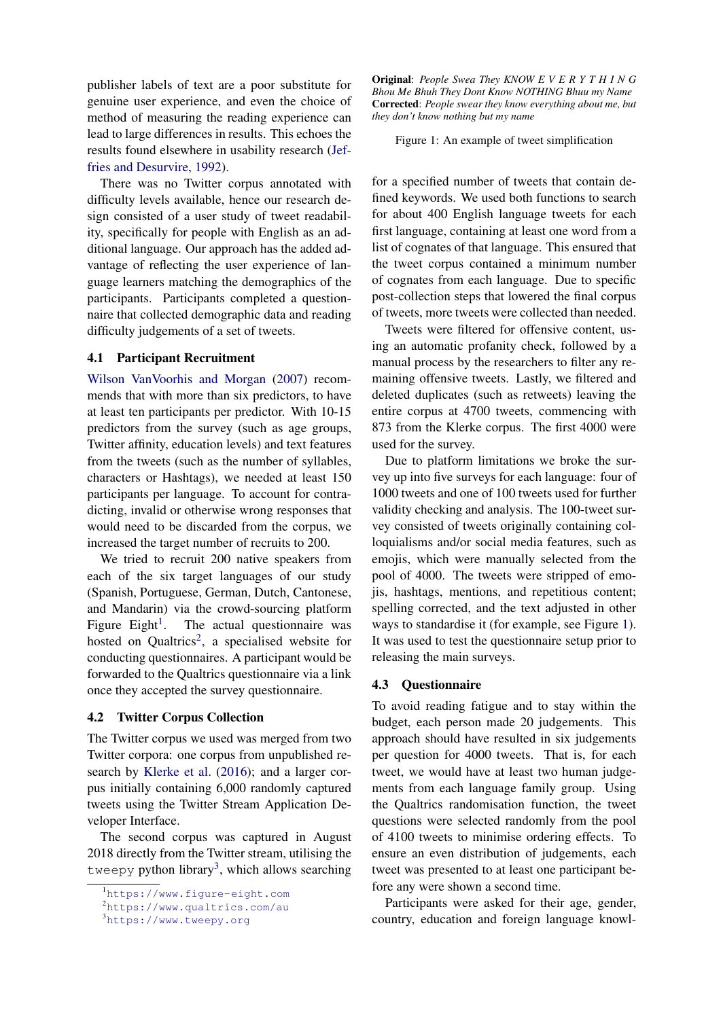publisher labels of text are a poor substitute for genuine user experience, and even the choice of method of measuring the reading experience can lead to large differences in results. This echoes the results found elsewhere in usability research [\(Jef](#page-8-12)[fries and Desurvire,](#page-8-12) [1992\)](#page-8-12).

There was no Twitter corpus annotated with difficulty levels available, hence our research design consisted of a user study of tweet readability, specifically for people with English as an additional language. Our approach has the added advantage of reflecting the user experience of language learners matching the demographics of the participants. Participants completed a questionnaire that collected demographic data and reading difficulty judgements of a set of tweets.

#### 4.1 Participant Recruitment

[Wilson VanVoorhis and Morgan](#page-8-13) [\(2007\)](#page-8-13) recommends that with more than six predictors, to have at least ten participants per predictor. With 10-15 predictors from the survey (such as age groups, Twitter affinity, education levels) and text features from the tweets (such as the number of syllables, characters or Hashtags), we needed at least 150 participants per language. To account for contradicting, invalid or otherwise wrong responses that would need to be discarded from the corpus, we increased the target number of recruits to 200.

We tried to recruit 200 native speakers from each of the six target languages of our study (Spanish, Portuguese, German, Dutch, Cantonese, and Mandarin) via the crowd-sourcing platform Figure Eight<sup>[1](#page-2-0)</sup>. . The actual questionnaire was hosted on Qualtrics<sup>[2](#page-2-1)</sup>, a specialised website for conducting questionnaires. A participant would be forwarded to the Qualtrics questionnaire via a link once they accepted the survey questionnaire.

#### 4.2 Twitter Corpus Collection

The Twitter corpus we used was merged from two Twitter corpora: one corpus from unpublished research by [Klerke et al.](#page-8-0) [\(2016\)](#page-8-0); and a larger corpus initially containing 6,000 randomly captured tweets using the Twitter Stream Application Developer Interface.

The second corpus was captured in August 2018 directly from the Twitter stream, utilising the tweepy python library<sup>[3](#page-2-2)</sup>, which allows searching

<span id="page-2-3"></span>Original: *People Swea They KNOW E V E R Y T H I N G Bhou Me Bhuh They Dont Know NOTHING Bhuu my Name* Corrected: *People swear they know everything about me, but they don't know nothing but my name*

Figure 1: An example of tweet simplification

for a specified number of tweets that contain defined keywords. We used both functions to search for about 400 English language tweets for each first language, containing at least one word from a list of cognates of that language. This ensured that the tweet corpus contained a minimum number of cognates from each language. Due to specific post-collection steps that lowered the final corpus of tweets, more tweets were collected than needed.

Tweets were filtered for offensive content, using an automatic profanity check, followed by a manual process by the researchers to filter any remaining offensive tweets. Lastly, we filtered and deleted duplicates (such as retweets) leaving the entire corpus at 4700 tweets, commencing with 873 from the Klerke corpus. The first 4000 were used for the survey.

Due to platform limitations we broke the survey up into five surveys for each language: four of 1000 tweets and one of 100 tweets used for further validity checking and analysis. The 100-tweet survey consisted of tweets originally containing colloquialisms and/or social media features, such as emojis, which were manually selected from the pool of 4000. The tweets were stripped of emojis, hashtags, mentions, and repetitious content; spelling corrected, and the text adjusted in other ways to standardise it (for example, see Figure [1\)](#page-2-3). It was used to test the questionnaire setup prior to releasing the main surveys.

#### 4.3 Questionnaire

To avoid reading fatigue and to stay within the budget, each person made 20 judgements. This approach should have resulted in six judgements per question for 4000 tweets. That is, for each tweet, we would have at least two human judgements from each language family group. Using the Qualtrics randomisation function, the tweet questions were selected randomly from the pool of 4100 tweets to minimise ordering effects. To ensure an even distribution of judgements, each tweet was presented to at least one participant before any were shown a second time.

Participants were asked for their age, gender, country, education and foreign language knowl-

<span id="page-2-0"></span><sup>1</sup><https://www.figure-eight.com>

<span id="page-2-1"></span><sup>2</sup><https://www.qualtrics.com/au>

<span id="page-2-2"></span><sup>3</sup><https://www.tweepy.org>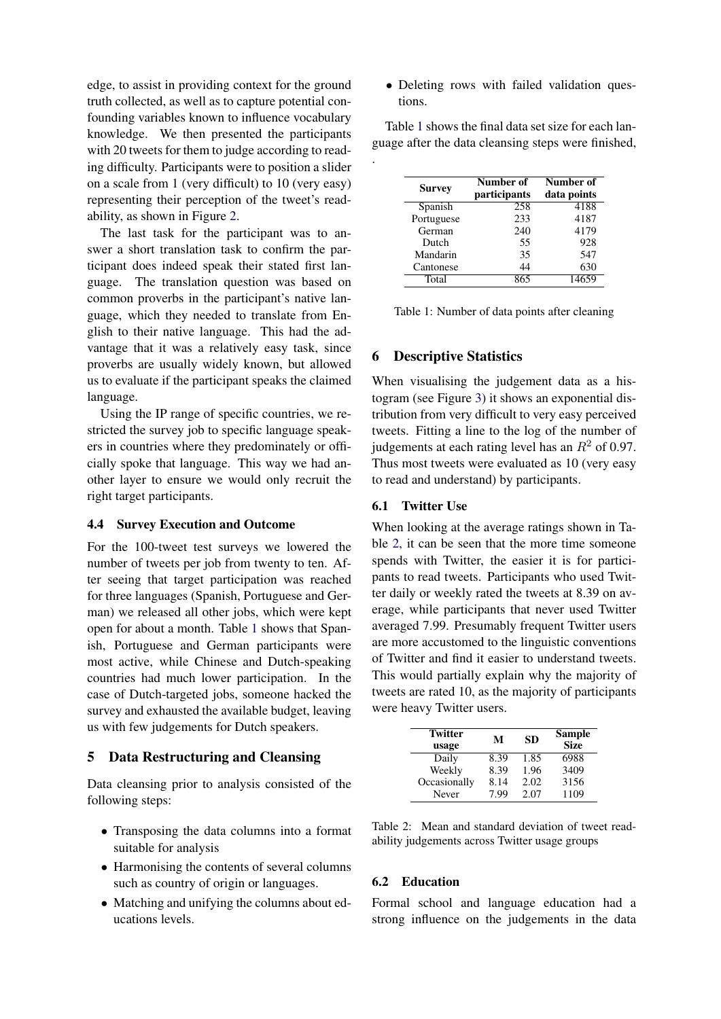edge, to assist in providing context for the ground truth collected, as well as to capture potential confounding variables known to influence vocabulary knowledge. We then presented the participants with 20 tweets for them to judge according to reading difficulty. Participants were to position a slider on a scale from 1 (very difficult) to 10 (very easy) representing their perception of the tweet's readability, as shown in Figure [2.](#page-4-0)

The last task for the participant was to answer a short translation task to confirm the participant does indeed speak their stated first language. The translation question was based on common proverbs in the participant's native language, which they needed to translate from English to their native language. This had the advantage that it was a relatively easy task, since proverbs are usually widely known, but allowed us to evaluate if the participant speaks the claimed language.

Using the IP range of specific countries, we restricted the survey job to specific language speakers in countries where they predominately or officially spoke that language. This way we had another layer to ensure we would only recruit the right target participants.

### 4.4 Survey Execution and Outcome

For the 100-tweet test surveys we lowered the number of tweets per job from twenty to ten. After seeing that target participation was reached for three languages (Spanish, Portuguese and German) we released all other jobs, which were kept open for about a month. Table [1](#page-3-0) shows that Spanish, Portuguese and German participants were most active, while Chinese and Dutch-speaking countries had much lower participation. In the case of Dutch-targeted jobs, someone hacked the survey and exhausted the available budget, leaving us with few judgements for Dutch speakers.

### 5 Data Restructuring and Cleansing

Data cleansing prior to analysis consisted of the following steps:

- Transposing the data columns into a format suitable for analysis
- Harmonising the contents of several columns such as country of origin or languages.
- Matching and unifying the columns about educations levels.

• Deleting rows with failed validation questions.

Table [1](#page-3-0) shows the final data set size for each language after the data cleansing steps were finished,

| <b>Survey</b> | Number of<br>participants | Number of<br>data points |
|---------------|---------------------------|--------------------------|
| Spanish       | 258                       | 4188                     |
| Portuguese    | 233                       | 4187                     |
| German        | 240                       | 4179                     |
| Dutch         | 55                        | 928                      |
| Mandarin      | 35                        | 547                      |
| Cantonese     | 44                        | 630                      |
| Total         | 865                       | 14659                    |

| Table 1: Number of data points after cleaning |  |  |  |  |
|-----------------------------------------------|--|--|--|--|
|-----------------------------------------------|--|--|--|--|

#### 6 Descriptive Statistics

<span id="page-3-0"></span>.

When visualising the judgement data as a histogram (see Figure [3\)](#page-4-1) it shows an exponential distribution from very difficult to very easy perceived tweets. Fitting a line to the log of the number of judgements at each rating level has an  $R^2$  of 0.97. Thus most tweets were evaluated as 10 (very easy to read and understand) by participants.

## 6.1 Twitter Use

When looking at the average ratings shown in Table [2,](#page-3-1) it can be seen that the more time someone spends with Twitter, the easier it is for participants to read tweets. Participants who used Twitter daily or weekly rated the tweets at 8.39 on average, while participants that never used Twitter averaged 7.99. Presumably frequent Twitter users are more accustomed to the linguistic conventions of Twitter and find it easier to understand tweets. This would partially explain why the majority of tweets are rated 10, as the majority of participants were heavy Twitter users.

<span id="page-3-1"></span>

| <b>Twitter</b><br>usage | М    | <b>SD</b> | <b>Sample</b><br><b>Size</b> |
|-------------------------|------|-----------|------------------------------|
| Daily                   | 8.39 | 1.85      | 6988                         |
| Weekly                  | 8.39 | 1.96      | 3409                         |
| Occasionally            | 8.14 | 2.02      | 3156                         |
| <b>Never</b>            | 7.99 | 2.07      | 1109                         |

Table 2: Mean and standard deviation of tweet readability judgements across Twitter usage groups

### 6.2 Education

Formal school and language education had a strong influence on the judgements in the data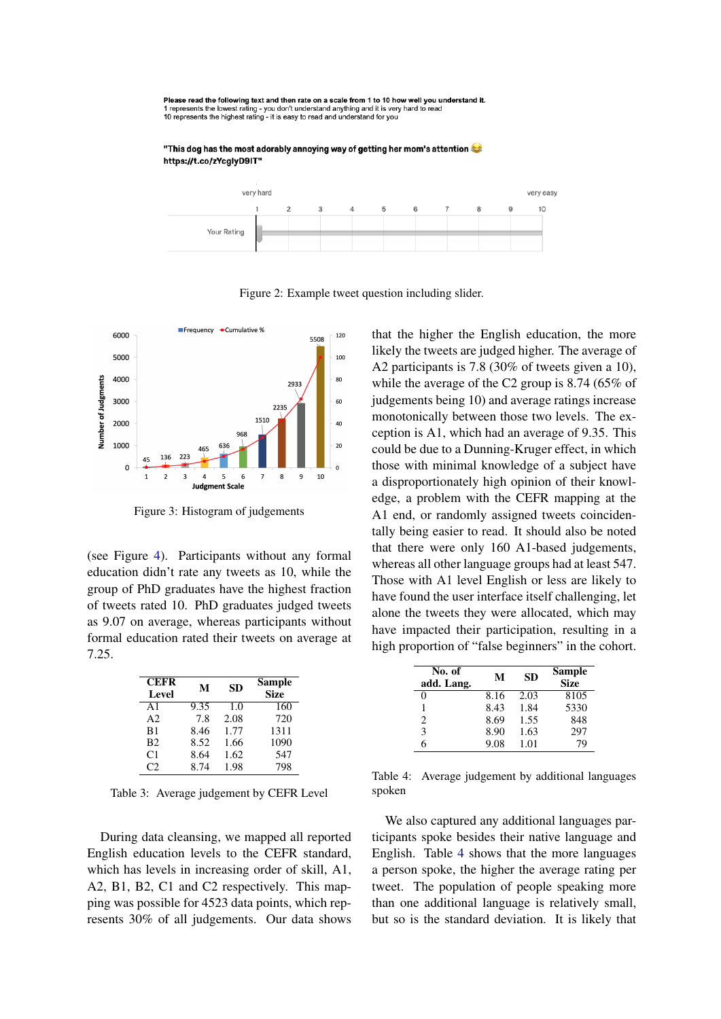<span id="page-4-0"></span>Please read the following text and then rate on a scale from 1 to 10 how well you understand it. The research the lowest rating - you don't understand anything and it is very hard to read<br>10 represents the lowest rating - you don't understand anything and it is very hard to read<br>10 represents the highest rating - it i

"This dog has the most adorably annoying way of getting her mom's attention https://t.co/zYcglyD9IT"



Figure 2: Example tweet question including slider.

<span id="page-4-1"></span>

Figure 3: Histogram of judgements

(see Figure [4\)](#page-5-0). Participants without any formal education didn't rate any tweets as 10, while the group of PhD graduates have the highest fraction of tweets rated 10. PhD graduates judged tweets as 9.07 on average, whereas participants without formal education rated their tweets on average at 7.25.

| <b>CEFR</b><br>Level | M    | <b>SD</b> | Sample<br><b>Size</b> |
|----------------------|------|-----------|-----------------------|
| $\mathbf{A}1$        | 9.35 | 1.0       | 160                   |
| A <sub>2</sub>       | 7.8  | 2.08      | 720                   |
| B1                   | 8.46 | 1.77      | 1311                  |
| B <sub>2</sub>       | 8.52 | 1.66      | 1090                  |
| C1                   | 8.64 | 1.62      | 547                   |
| $\mathcal{C}$        | 8.74 | 1.98      | 798                   |

Table 3: Average judgement by CEFR Level

During data cleansing, we mapped all reported English education levels to the CEFR standard, which has levels in increasing order of skill, A1, A2, B1, B2, C1 and C2 respectively. This mapping was possible for 4523 data points, which represents 30% of all judgements. Our data shows

that the higher the English education, the more likely the tweets are judged higher. The average of A2 participants is 7.8 (30% of tweets given a 10), while the average of the C2 group is 8.74 (65% of judgements being 10) and average ratings increase monotonically between those two levels. The exception is A1, which had an average of 9.35. This could be due to a Dunning-Kruger effect, in which those with minimal knowledge of a subject have a disproportionately high opinion of their knowledge, a problem with the CEFR mapping at the A1 end, or randomly assigned tweets coincidentally being easier to read. It should also be noted that there were only 160 A1-based judgements, whereas all other language groups had at least 547. Those with A1 level English or less are likely to have found the user interface itself challenging, let alone the tweets they were allocated, which may have impacted their participation, resulting in a high proportion of "false beginners" in the cohort.

<span id="page-4-2"></span>

| No. of<br>add. Lang. | М    | <b>SD</b> | <b>Sample</b><br><b>Size</b> |
|----------------------|------|-----------|------------------------------|
| 0                    | 8.16 | 2.03      | 8105                         |
| 1                    | 8.43 | 1.84      | 5330                         |
| 2                    | 8.69 | 1.55      | 848                          |
| 3                    | 8.90 | 1.63      | 297                          |
| 6                    | 9.08 | 1.01      | 79                           |

Table 4: Average judgement by additional languages spoken

We also captured any additional languages participants spoke besides their native language and English. Table [4](#page-4-2) shows that the more languages a person spoke, the higher the average rating per tweet. The population of people speaking more than one additional language is relatively small, but so is the standard deviation. It is likely that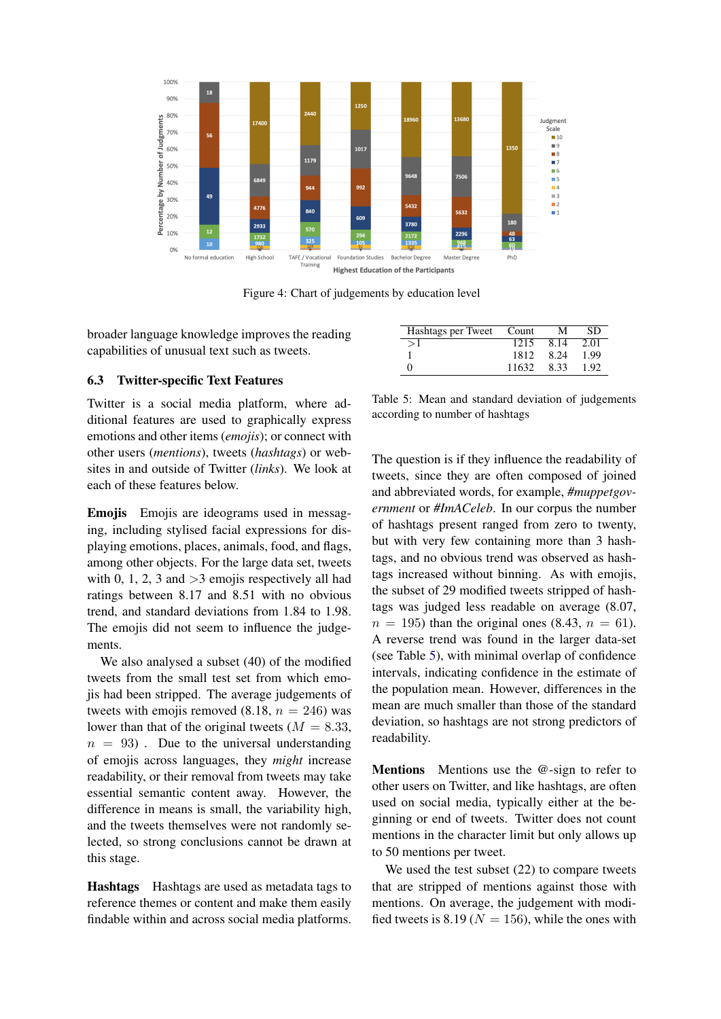<span id="page-5-0"></span>

Figure 4: Chart of judgements by education level

broader language knowledge improves the reading capabilities of unusual text such as tweets.

### 6.3 Twitter-specific Text Features

Twitter is a social media platform, where additional features are used to graphically express emotions and other items (*emojis*); or connect with other users (*mentions*), tweets (*hashtags*) or websites in and outside of Twitter (*links*). We look at each of these features below.

Emojis Emojis are ideograms used in messaging, including stylised facial expressions for displaying emotions, places, animals, food, and flags, among other objects. For the large data set, tweets with 0, 1, 2, 3 and  $>$ 3 emojis respectively all had ratings between 8.17 and 8.51 with no obvious trend, and standard deviations from 1.84 to 1.98. The emojis did not seem to influence the judgements.

We also analysed a subset (40) of the modified tweets from the small test set from which emojis had been stripped. The average judgements of tweets with emojis removed  $(8.18, n = 246)$  was lower than that of the original tweets ( $M = 8.33$ ,  $n = 93$ ). Due to the universal understanding of emojis across languages, they *might* increase readability, or their removal from tweets may take essential semantic content away. However, the difference in means is small, the variability high, and the tweets themselves were not randomly selected, so strong conclusions cannot be drawn at this stage.

Hashtags Hashtags are used as metadata tags to reference themes or content and make them easily findable within and across social media platforms.

<span id="page-5-1"></span>

| Hashtags per Tweet Count |       | м    | SD   |
|--------------------------|-------|------|------|
|                          | 1215  | 8.14 | 2.01 |
|                          | 1812  | 8.24 | 1.99 |
|                          | 11632 | 8.33 | 1.92 |

Table 5: Mean and standard deviation of judgements according to number of hashtags

The question is if they influence the readability of tweets, since they are often composed of joined and abbreviated words, for example, *#muppetgovernment* or *#ImACeleb*. In our corpus the number of hashtags present ranged from zero to twenty, but with very few containing more than 3 hashtags, and no obvious trend was observed as hashtags increased without binning. As with emojis, the subset of 29 modified tweets stripped of hashtags was judged less readable on average (8.07,  $n = 195$ ) than the original ones (8.43,  $n = 61$ ). A reverse trend was found in the larger data-set (see Table [5\)](#page-5-1), with minimal overlap of confidence intervals, indicating confidence in the estimate of the population mean. However, differences in the mean are much smaller than those of the standard deviation, so hashtags are not strong predictors of readability.

Mentions Mentions use the @-sign to refer to other users on Twitter, and like hashtags, are often used on social media, typically either at the beginning or end of tweets. Twitter does not count mentions in the character limit but only allows up to 50 mentions per tweet.

We used the test subset  $(22)$  to compare tweets that are stripped of mentions against those with mentions. On average, the judgement with modified tweets is 8.19 ( $N = 156$ ), while the ones with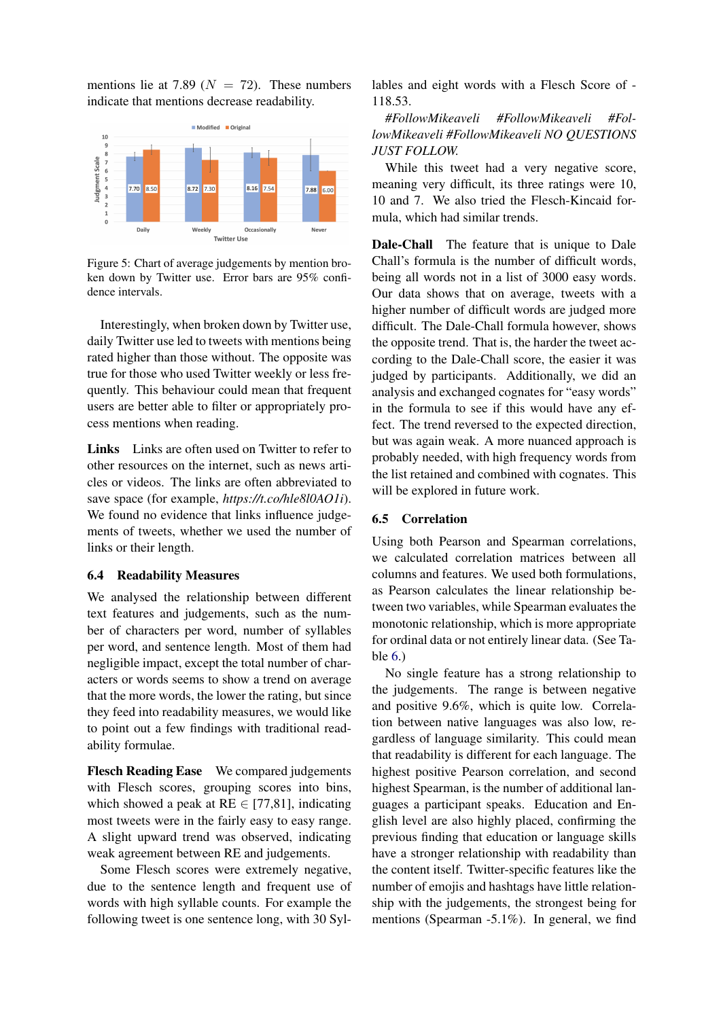mentions lie at 7.89 ( $N = 72$ ). These numbers indicate that mentions decrease readability.



Figure 5: Chart of average judgements by mention broken down by Twitter use. Error bars are 95% confidence intervals.

Interestingly, when broken down by Twitter use, daily Twitter use led to tweets with mentions being rated higher than those without. The opposite was true for those who used Twitter weekly or less frequently. This behaviour could mean that frequent users are better able to filter or appropriately process mentions when reading.

Links Links are often used on Twitter to refer to other resources on the internet, such as news articles or videos. The links are often abbreviated to save space (for example, *https://t.co/hle8l0AO1i*). We found no evidence that links influence judgements of tweets, whether we used the number of links or their length.

### 6.4 Readability Measures

We analysed the relationship between different text features and judgements, such as the number of characters per word, number of syllables per word, and sentence length. Most of them had negligible impact, except the total number of characters or words seems to show a trend on average that the more words, the lower the rating, but since they feed into readability measures, we would like to point out a few findings with traditional readability formulae.

Flesch Reading Ease We compared judgements with Flesch scores, grouping scores into bins, which showed a peak at  $RE \in [77,81]$ , indicating most tweets were in the fairly easy to easy range. A slight upward trend was observed, indicating weak agreement between RE and judgements.

Some Flesch scores were extremely negative, due to the sentence length and frequent use of words with high syllable counts. For example the following tweet is one sentence long, with 30 Syllables and eight words with a Flesch Score of - 118.53.

*#FollowMikeaveli #FollowMikeaveli #FollowMikeaveli #FollowMikeaveli NO QUESTIONS JUST FOLLOW.*

While this tweet had a very negative score, meaning very difficult, its three ratings were 10, 10 and 7. We also tried the Flesch-Kincaid formula, which had similar trends.

Dale-Chall The feature that is unique to Dale Chall's formula is the number of difficult words, being all words not in a list of 3000 easy words. Our data shows that on average, tweets with a higher number of difficult words are judged more difficult. The Dale-Chall formula however, shows the opposite trend. That is, the harder the tweet according to the Dale-Chall score, the easier it was judged by participants. Additionally, we did an analysis and exchanged cognates for "easy words" in the formula to see if this would have any effect. The trend reversed to the expected direction, but was again weak. A more nuanced approach is probably needed, with high frequency words from the list retained and combined with cognates. This will be explored in future work.

#### 6.5 Correlation

Using both Pearson and Spearman correlations, we calculated correlation matrices between all columns and features. We used both formulations, as Pearson calculates the linear relationship between two variables, while Spearman evaluates the monotonic relationship, which is more appropriate for ordinal data or not entirely linear data. (See Table [6.](#page-7-0))

No single feature has a strong relationship to the judgements. The range is between negative and positive 9.6%, which is quite low. Correlation between native languages was also low, regardless of language similarity. This could mean that readability is different for each language. The highest positive Pearson correlation, and second highest Spearman, is the number of additional languages a participant speaks. Education and English level are also highly placed, confirming the previous finding that education or language skills have a stronger relationship with readability than the content itself. Twitter-specific features like the number of emojis and hashtags have little relationship with the judgements, the strongest being for mentions (Spearman -5.1%). In general, we find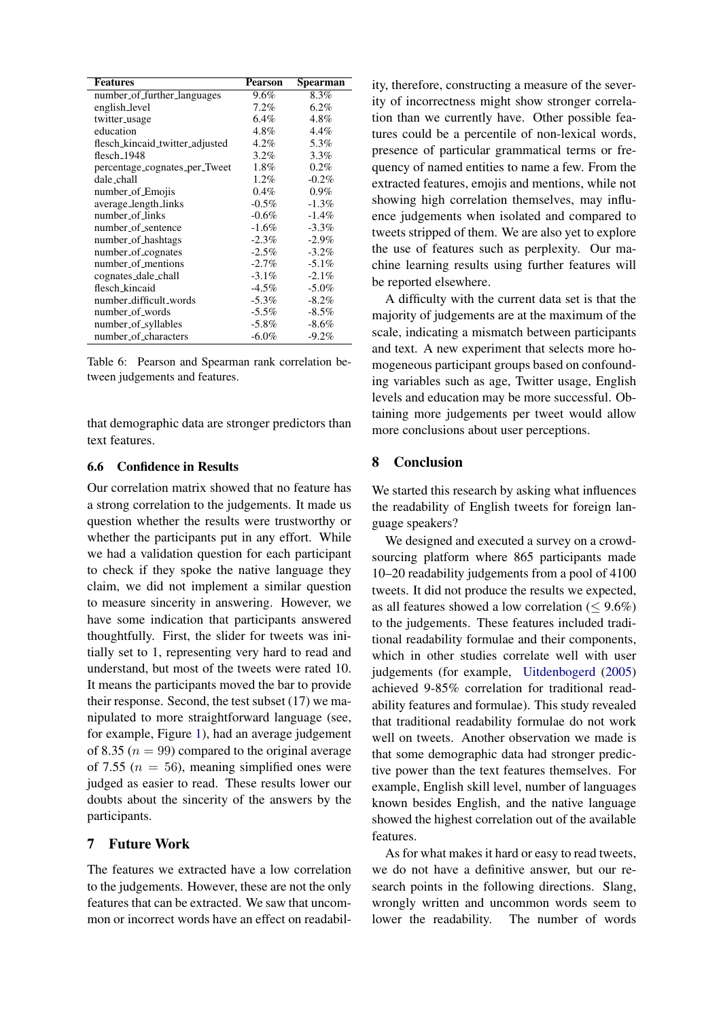<span id="page-7-0"></span>

| <b>Features</b>                 | Pearson  | Spearman |
|---------------------------------|----------|----------|
| number_of_further_languages     | 9.6%     | 8.3%     |
| english_level                   | 7.2%     | $6.2\%$  |
| twitter_usage                   | 6.4%     | 4.8%     |
| education                       | 4.8%     | 4.4%     |
| flesch_kincaid_twitter_adjusted | 4.2%     | 5.3%     |
| flesch_1948                     | $3.2\%$  | $3.3\%$  |
| percentage_cognates_per_Tweet   | $1.8\%$  | 0.2%     |
| dale_chall                      | 1.2%     | $-0.2%$  |
| number_of_Emojis                | $0.4\%$  | $0.9\%$  |
| average_length_links            | $-0.5\%$ | $-1.3\%$ |
| number_of_links                 | $-0.6\%$ | $-1.4%$  |
| number_of_sentence              | $-1.6\%$ | $-3.3\%$ |
| number_of_hashtags              | $-2.3\%$ | $-2.9\%$ |
| number_of_cognates              | $-2.5\%$ | $-3.2\%$ |
| number_of_mentions              | $-2.7\%$ | $-5.1\%$ |
| cognates_dale_chall             | $-3.1\%$ | $-2.1\%$ |
| flesch_kincaid                  | $-4.5\%$ | $-5.0\%$ |
| number_difficult_words          | $-5.3\%$ | $-8.2\%$ |
| number_of_words                 | $-5.5\%$ | $-8.5\%$ |
| number_of_syllables             | $-5.8\%$ | $-8.6\%$ |
| number_of_characters            | $-6.0\%$ | $-9.2%$  |

Table 6: Pearson and Spearman rank correlation between judgements and features.

that demographic data are stronger predictors than text features.

### 6.6 Confidence in Results

Our correlation matrix showed that no feature has a strong correlation to the judgements. It made us question whether the results were trustworthy or whether the participants put in any effort. While we had a validation question for each participant to check if they spoke the native language they claim, we did not implement a similar question to measure sincerity in answering. However, we have some indication that participants answered thoughtfully. First, the slider for tweets was initially set to 1, representing very hard to read and understand, but most of the tweets were rated 10. It means the participants moved the bar to provide their response. Second, the test subset (17) we manipulated to more straightforward language (see, for example, Figure [1\)](#page-2-3), had an average judgement of 8.35 ( $n = 99$ ) compared to the original average of 7.55 ( $n = 56$ ), meaning simplified ones were judged as easier to read. These results lower our doubts about the sincerity of the answers by the participants.

## 7 Future Work

The features we extracted have a low correlation to the judgements. However, these are not the only features that can be extracted. We saw that uncommon or incorrect words have an effect on readability, therefore, constructing a measure of the severity of incorrectness might show stronger correlation than we currently have. Other possible features could be a percentile of non-lexical words, presence of particular grammatical terms or frequency of named entities to name a few. From the extracted features, emojis and mentions, while not showing high correlation themselves, may influence judgements when isolated and compared to tweets stripped of them. We are also yet to explore the use of features such as perplexity. Our machine learning results using further features will be reported elsewhere.

A difficulty with the current data set is that the majority of judgements are at the maximum of the scale, indicating a mismatch between participants and text. A new experiment that selects more homogeneous participant groups based on confounding variables such as age, Twitter usage, English levels and education may be more successful. Obtaining more judgements per tweet would allow more conclusions about user perceptions.

## 8 Conclusion

We started this research by asking what influences the readability of English tweets for foreign language speakers?

We designed and executed a survey on a crowdsourcing platform where 865 participants made 10–20 readability judgements from a pool of 4100 tweets. It did not produce the results we expected, as all features showed a low correlation ( $\leq 9.6\%$ ) to the judgements. These features included traditional readability formulae and their components, which in other studies correlate well with user judgements (for example, [Uitdenbogerd](#page-8-6) [\(2005\)](#page-8-6) achieved 9-85% correlation for traditional readability features and formulae). This study revealed that traditional readability formulae do not work well on tweets. Another observation we made is that some demographic data had stronger predictive power than the text features themselves. For example, English skill level, number of languages known besides English, and the native language showed the highest correlation out of the available features.

As for what makes it hard or easy to read tweets, we do not have a definitive answer, but our research points in the following directions. Slang, wrongly written and uncommon words seem to lower the readability. The number of words